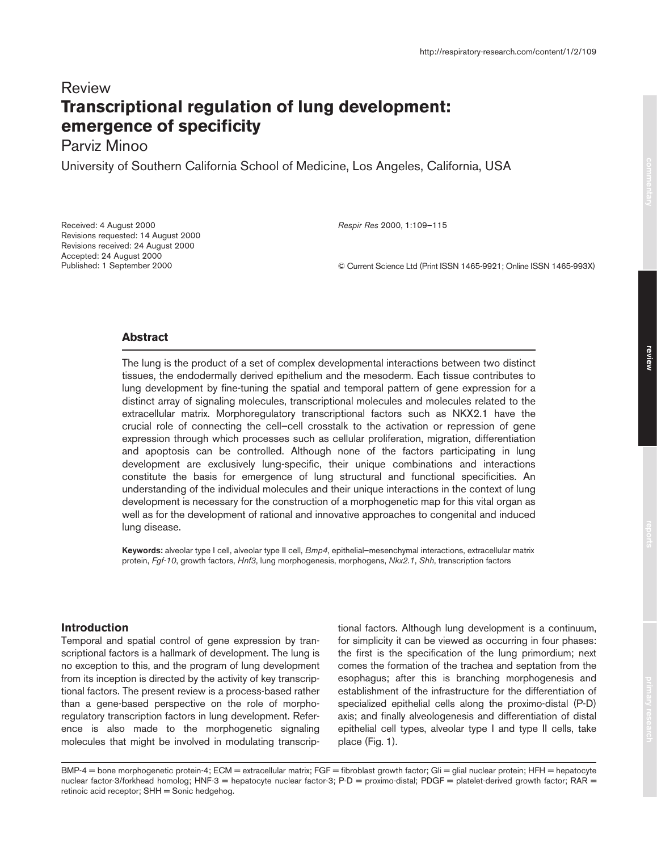# Review **Transcriptional regulation of lung development: emergence of specificity**

## Parviz Minoo

University of Southern California School of Medicine, Los Angeles, California, USA

Received: 4 August 2000 Revisions requested: 14 August 2000 Revisions received: 24 August 2000 Accepted: 24 August 2000 Published: 1 September 2000

*Respir Res* 2000, **1**:109–115

© Current Science Ltd (Print ISSN 1465-9921; Online ISSN 1465-993X)

## **Abstract**

The lung is the product of a set of complex developmental interactions between two distinct tissues, the endodermally derived epithelium and the mesoderm. Each tissue contributes to lung development by fine-tuning the spatial and temporal pattern of gene expression for a distinct array of signaling molecules, transcriptional molecules and molecules related to the extracellular matrix. Morphoregulatory transcriptional factors such as NKX2.1 have the crucial role of connecting the cell–cell crosstalk to the activation or repression of gene expression through which processes such as cellular proliferation, migration, differentiation and apoptosis can be controlled. Although none of the factors participating in lung development are exclusively lung-specific, their unique combinations and interactions constitute the basis for emergence of lung structural and functional specificities. An understanding of the individual molecules and their unique interactions in the context of lung development is necessary for the construction of a morphogenetic map for this vital organ as well as for the development of rational and innovative approaches to congenital and induced lung disease.

**Keywords:** alveolar type I cell, alveolar type II cell, *Bmp4*, epithelial–mesenchymal interactions, extracellular matrix protein, *Fgf-10*, growth factors, *Hnf3*, lung morphogenesis, morphogens, *Nkx2.1*, *Shh*, transcription factors

### **Introduction**

Temporal and spatial control of gene expression by transcriptional factors is a hallmark of development. The lung is no exception to this, and the program of lung development from its inception is directed by the activity of key transcriptional factors. The present review is a process-based rather than a gene-based perspective on the role of morphoregulatory transcription factors in lung development. Reference is also made to the morphogenetic signaling molecules that might be involved in modulating transcriptional factors. Although lung development is a continuum, for simplicity it can be viewed as occurring in four phases: the first is the specification of the lung primordium; next comes the formation of the trachea and septation from the esophagus; after this is branching morphogenesis and establishment of the infrastructure for the differentiation of specialized epithelial cells along the proximo-distal (P-D) axis; and finally alveologenesis and differentiation of distal epithelial cell types, alveolar type I and type II cells, take place (Fig. 1).

BMP-4 = bone morphogenetic protein-4; ECM = extracellular matrix; FGF = fibroblast growth factor; Gli = glial nuclear protein; HFH = hepatocyte nuclear factor-3/forkhead homolog; HNF-3 = hepatocyte nuclear factor-3; P-D = proximo-distal; PDGF = platelet-derived growth factor; RAR = retinoic acid receptor; SHH = Sonic hedgehog.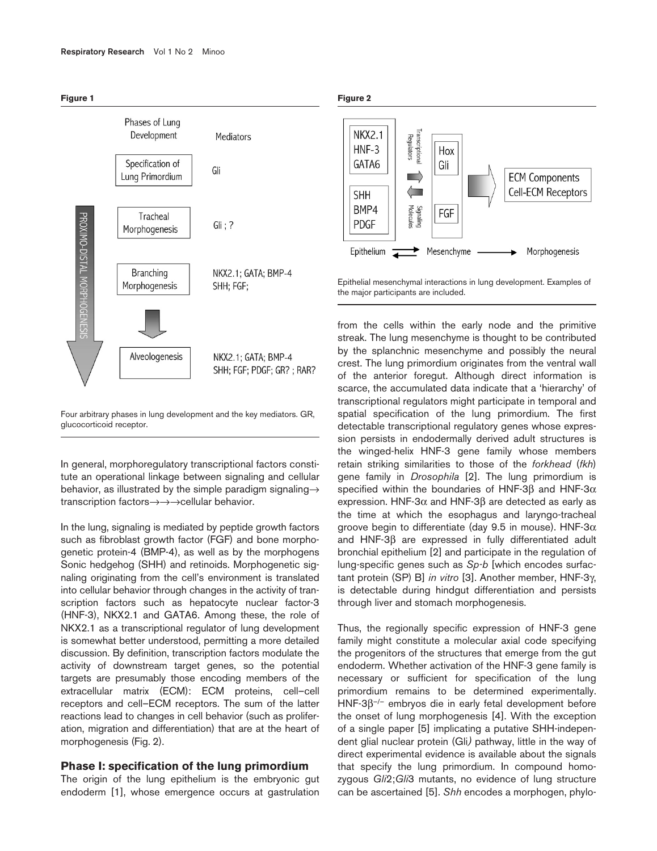



Four arbitrary phases in lung development and the key mediators. GR, glucocorticoid receptor.

In general, morphoregulatory transcriptional factors constitute an operational linkage between signaling and cellular behavior, as illustrated by the simple paradigm signaling $\rightarrow$ transcription factors→→→cellular behavior.

In the lung, signaling is mediated by peptide growth factors such as fibroblast growth factor (FGF) and bone morphogenetic protein-4 (BMP-4), as well as by the morphogens Sonic hedgehog (SHH) and retinoids. Morphogenetic signaling originating from the cell's environment is translated into cellular behavior through changes in the activity of transcription factors such as hepatocyte nuclear factor-3 (HNF-3), NKX2.1 and GATA6. Among these, the role of NKX2.1 as a transcriptional regulator of lung development is somewhat better understood, permitting a more detailed discussion. By definition, transcription factors modulate the activity of downstream target genes, so the potential targets are presumably those encoding members of the extracellular matrix (ECM): ECM proteins, cell–cell receptors and cell–ECM receptors. The sum of the latter reactions lead to changes in cell behavior (such as proliferation, migration and differentiation) that are at the heart of morphogenesis (Fig. 2).

#### **Phase I: specification of the lung primordium**

The origin of the lung epithelium is the embryonic gut endoderm [1], whose emergence occurs at gastrulation





Epithelial mesenchymal interactions in lung development. Examples of the major participants are included.

from the cells within the early node and the primitive streak. The lung mesenchyme is thought to be contributed by the splanchnic mesenchyme and possibly the neural crest. The lung primordium originates from the ventral wall of the anterior foregut. Although direct information is scarce, the accumulated data indicate that a 'hierarchy' of transcriptional regulators might participate in temporal and spatial specification of the lung primordium. The first detectable transcriptional regulatory genes whose expression persists in endodermally derived adult structures is the winged-helix HNF-3 gene family whose members retain striking similarities to those of the *forkhead* (*fkh*) gene family in *Drosophila* [2]. The lung primordium is specified within the boundaries of HNF-3 $\beta$  and HNF-3 $\alpha$ expression. HNF-3α and HNF-3β are detected as early as the time at which the esophagus and laryngo-tracheal groove begin to differentiate (day 9.5 in mouse). HNF-3α and HNF-3β are expressed in fully differentiated adult bronchial epithelium [2] and participate in the regulation of lung-specific genes such as *Sp-b* [which encodes surfactant protein (SP) B] *in vitro* [3]. Another member, HNF-3γ, is detectable during hindgut differentiation and persists through liver and stomach morphogenesis.

Thus, the regionally specific expression of HNF-3 gene family might constitute a molecular axial code specifying the progenitors of the structures that emerge from the gut endoderm. Whether activation of the HNF-3 gene family is necessary or sufficient for specification of the lung primordium remains to be determined experimentally. HNF-3β–/– embryos die in early fetal development before the onset of lung morphogenesis [4]. With the exception of a single paper [5] implicating a putative SHH-independent glial nuclear protein (Gli*)* pathway, little in the way of direct experimental evidence is available about the signals that specify the lung primordium. In compound homozygous *Gli*2;*Gli*3 mutants, no evidence of lung structure can be ascertained [5]. *Shh* encodes a morphogen, phylo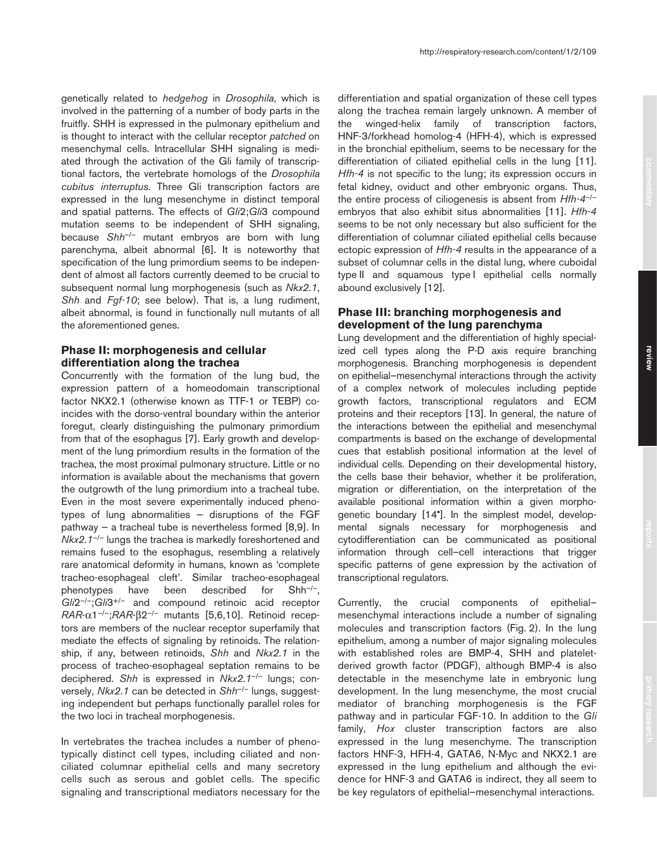genetically related to *hedgehog* in *Drosophila*, which is involved in the patterning of a number of body parts in the fruitfly. SHH is expressed in the pulmonary epithelium and is thought to interact with the cellular receptor *patched* on mesenchymal cells. Intracellular SHH signaling is mediated through the activation of the Gli family of transcriptional factors, the vertebrate homologs of the *Drosophila cubitus interruptus*. Three Gli transcription factors are expressed in the lung mesenchyme in distinct temporal and spatial patterns. The effects of *Gli*2;*Gli*3 compound mutation seems to be independent of SHH signaling, because *Shh*–/– mutant embryos are born with lung parenchyma, albeit abnormal [6]. It is noteworthy that specification of the lung primordium seems to be independent of almost all factors currently deemed to be crucial to subsequent normal lung morphogenesis (such as *Nkx2.1*, *Shh* and *Fgf-10*; see below). That is, a lung rudiment, albeit abnormal, is found in functionally null mutants of all the aforementioned genes.

## **Phase II: morphogenesis and cellular differentiation along the trachea**

Concurrently with the formation of the lung bud, the expression pattern of a homeodomain transcriptional factor NKX2.1 (otherwise known as TTF-1 or TEBP) coincides with the dorso-ventral boundary within the anterior foregut, clearly distinguishing the pulmonary primordium from that of the esophagus [7]. Early growth and development of the lung primordium results in the formation of the trachea, the most proximal pulmonary structure. Little or no information is available about the mechanisms that govern the outgrowth of the lung primordium into a tracheal tube. Even in the most severe experimentally induced phenotypes of lung abnormalities — disruptions of the FGF pathway — a tracheal tube is nevertheless formed [8,9]. In *Nkx2.1<sup>-/-</sup>* lungs the trachea is markedly foreshortened and remains fused to the esophagus, resembling a relatively rare anatomical deformity in humans, known as 'complete tracheo-esophageal cleft'. Similar tracheo-esophageal phenotypes have been described for Shh–/–, *Gli*2–/–;*Gli*3+/– and compound retinoic acid receptor *RAR*-α1–/–;*RAR*-β2–/– mutants [5,6,10]. Retinoid receptors are members of the nuclear receptor superfamily that mediate the effects of signaling by retinoids. The relationship, if any, between retinoids, *Shh* and *Nkx2.1* in the process of tracheo-esophageal septation remains to be deciphered. *Shh* is expressed in *Nkx2.1*–/– lungs; conversely, *Nkx2.1* can be detected in *Shh*–/– lungs, suggesting independent but perhaps functionally parallel roles for the two loci in tracheal morphogenesis.

In vertebrates the trachea includes a number of phenotypically distinct cell types, including ciliated and nonciliated columnar epithelial cells and many secretory cells such as serous and goblet cells. The specific signaling and transcriptional mediators necessary for the

differentiation and spatial organization of these cell types along the trachea remain largely unknown. A member of the winged-helix family of transcription factors, HNF-3/forkhead homolog-4 (HFH-4), which is expressed in the bronchial epithelium, seems to be necessary for the differentiation of ciliated epithelial cells in the lung [11]. *Hfh-4* is not specific to the lung; its expression occurs in fetal kidney, oviduct and other embryonic organs. Thus, the entire process of ciliogenesis is absent from *Hfh-4*–/– embryos that also exhibit situs abnormalities [11]. *Hfh-4* seems to be not only necessary but also sufficient for the differentiation of columnar ciliated epithelial cells because ectopic expression of *Hfh-4* results in the appearance of a subset of columnar cells in the distal lung, where cuboidal type II and squamous type I epithelial cells normally abound exclusively [12].

## **Phase III: branching morphogenesis and development of the lung parenchyma**

Lung development and the differentiation of highly specialized cell types along the P-D axis require branching morphogenesis. Branching morphogenesis is dependent on epithelial–mesenchymal interactions through the activity of a complex network of molecules including peptide growth factors, transcriptional regulators and ECM proteins and their receptors [13]. In general, the nature of the interactions between the epithelial and mesenchymal compartments is based on the exchange of developmental cues that establish positional information at the level of individual cells. Depending on their developmental history, the cells base their behavior, whether it be proliferation, migration or differentiation, on the interpretation of the available positional information within a given morphogenetic boundary [14•]. In the simplest model, developmental signals necessary for morphogenesis and cytodifferentiation can be communicated as positional information through cell–cell interactions that trigger specific patterns of gene expression by the activation of transcriptional regulators.

Currently, the crucial components of epithelial– mesenchymal interactions include a number of signaling molecules and transcription factors (Fig. 2). In the lung epithelium, among a number of major signaling molecules with established roles are BMP-4, SHH and plateletderived growth factor (PDGF), although BMP-4 is also detectable in the mesenchyme late in embryonic lung development. In the lung mesenchyme, the most crucial mediator of branching morphogenesis is the FGF pathway and in particular FGF-10. In addition to the *Gli* family, *Hox* cluster transcription factors are also expressed in the lung mesenchyme. The transcription factors HNF-3, HFH-4, GATA6, N-Myc and NKX2.1 are expressed in the lung epithelium and although the evidence for HNF-3 and GATA6 is indirect, they all seem to be key regulators of epithelial–mesenchymal interactions.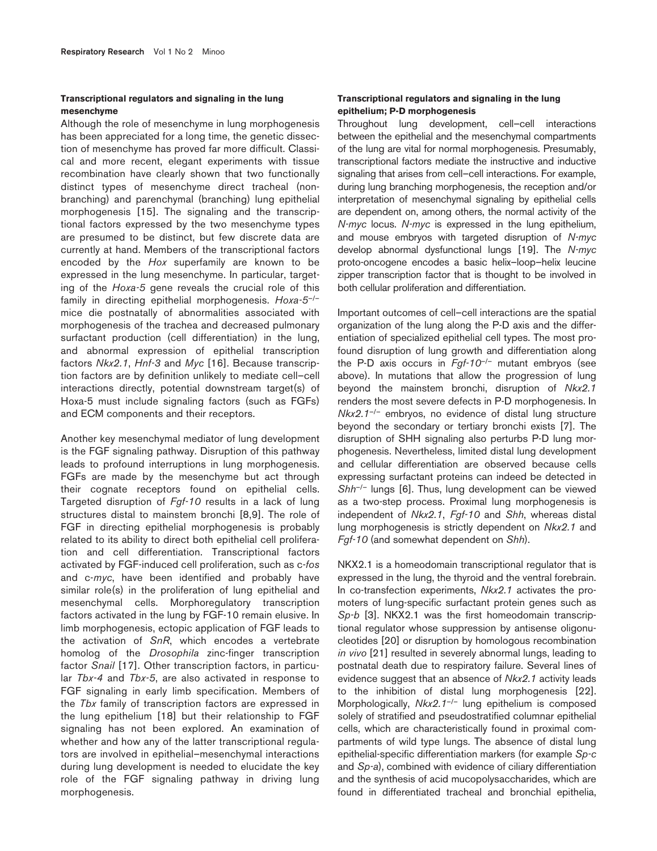#### **Transcriptional regulators and signaling in the lung mesenchyme**

Although the role of mesenchyme in lung morphogenesis has been appreciated for a long time, the genetic dissection of mesenchyme has proved far more difficult. Classical and more recent, elegant experiments with tissue recombination have clearly shown that two functionally distinct types of mesenchyme direct tracheal (nonbranching) and parenchymal (branching) lung epithelial morphogenesis [15]. The signaling and the transcriptional factors expressed by the two mesenchyme types are presumed to be distinct, but few discrete data are currently at hand. Members of the transcriptional factors encoded by the *Hox* superfamily are known to be expressed in the lung mesenchyme. In particular, targeting of the *Hoxa-5* gene reveals the crucial role of this family in directing epithelial morphogenesis. *Hoxa-5*–/– mice die postnatally of abnormalities associated with morphogenesis of the trachea and decreased pulmonary surfactant production (cell differentiation) in the lung, and abnormal expression of epithelial transcription factors *Nkx2.1*, *Hnf-3* and *Myc* [16]. Because transcription factors are by definition unlikely to mediate cell–cell interactions directly, potential downstream target(s) of Hoxa-5 must include signaling factors (such as FGFs) and ECM components and their receptors.

Another key mesenchymal mediator of lung development is the FGF signaling pathway. Disruption of this pathway leads to profound interruptions in lung morphogenesis. FGFs are made by the mesenchyme but act through their cognate receptors found on epithelial cells. Targeted disruption of *Fgf-10* results in a lack of lung structures distal to mainstem bronchi [8,9]. The role of FGF in directing epithelial morphogenesis is probably related to its ability to direct both epithelial cell proliferation and cell differentiation. Transcriptional factors activated by FGF-induced cell proliferation, such as c-*fos* and c-*myc*, have been identified and probably have similar role(s) in the proliferation of lung epithelial and mesenchymal cells. Morphoregulatory transcription factors activated in the lung by FGF-10 remain elusive. In limb morphogenesis, ectopic application of FGF leads to the activation of *SnR*, which encodes a vertebrate homolog of the *Drosophila* zinc-finger transcription factor *Snail* [17]. Other transcription factors, in particular *Tbx-4* and *Tbx-5*, are also activated in response to FGF signaling in early limb specification. Members of the *Tbx* family of transcription factors are expressed in the lung epithelium [18] but their relationship to FGF signaling has not been explored. An examination of whether and how any of the latter transcriptional regulators are involved in epithelial–mesenchymal interactions during lung development is needed to elucidate the key role of the FGF signaling pathway in driving lung morphogenesis.

#### **Transcriptional regulators and signaling in the lung epithelium; P-D morphogenesis**

Throughout lung development, cell–cell interactions between the epithelial and the mesenchymal compartments of the lung are vital for normal morphogenesis. Presumably, transcriptional factors mediate the instructive and inductive signaling that arises from cell–cell interactions. For example, during lung branching morphogenesis, the reception and/or interpretation of mesenchymal signaling by epithelial cells are dependent on, among others, the normal activity of the *N-myc* locus. *N-myc* is expressed in the lung epithelium, and mouse embryos with targeted disruption of *N-myc* develop abnormal dysfunctional lungs [19]. The *N-myc* proto-oncogene encodes a basic helix–loop–helix leucine zipper transcription factor that is thought to be involved in both cellular proliferation and differentiation.

Important outcomes of cell–cell interactions are the spatial organization of the lung along the P-D axis and the differentiation of specialized epithelial cell types. The most profound disruption of lung growth and differentiation along the P-D axis occurs in *Fgf-10*–/– mutant embryos (see above). In mutations that allow the progression of lung beyond the mainstem bronchi, disruption of *Nkx2.1* renders the most severe defects in P-D morphogenesis. In *Nkx2.1<sup>-/-</sup>* embryos, no evidence of distal lung structure beyond the secondary or tertiary bronchi exists [7]. The disruption of SHH signaling also perturbs P-D lung morphogenesis. Nevertheless, limited distal lung development and cellular differentiation are observed because cells expressing surfactant proteins can indeed be detected in *Shh*–/– lungs [6]. Thus, lung development can be viewed as a two-step process. Proximal lung morphogenesis is independent of *Nkx2.1*, *Fgf-10* and *Shh*, whereas distal lung morphogenesis is strictly dependent on *Nkx2.1* and *Fgf-10* (and somewhat dependent on *Shh*).

NKX2.1 is a homeodomain transcriptional regulator that is expressed in the lung, the thyroid and the ventral forebrain. In co-transfection experiments, *Nkx2.1* activates the promoters of lung-specific surfactant protein genes such as *Sp-b* [3]. NKX2.1 was the first homeodomain transcriptional regulator whose suppression by antisense oligonucleotides [20] or disruption by homologous recombination *in vivo* [21] resulted in severely abnormal lungs, leading to postnatal death due to respiratory failure. Several lines of evidence suggest that an absence of *Nkx2.1* activity leads to the inhibition of distal lung morphogenesis [22]. Morphologically, *Nkx2.1*–/– lung epithelium is composed solely of stratified and pseudostratified columnar epithelial cells, which are characteristically found in proximal compartments of wild type lungs. The absence of distal lung epithelial-specific differentiation markers (for example *Sp-c* and *Sp-a*), combined with evidence of ciliary differentiation and the synthesis of acid mucopolysaccharides, which are found in differentiated tracheal and bronchial epithelia,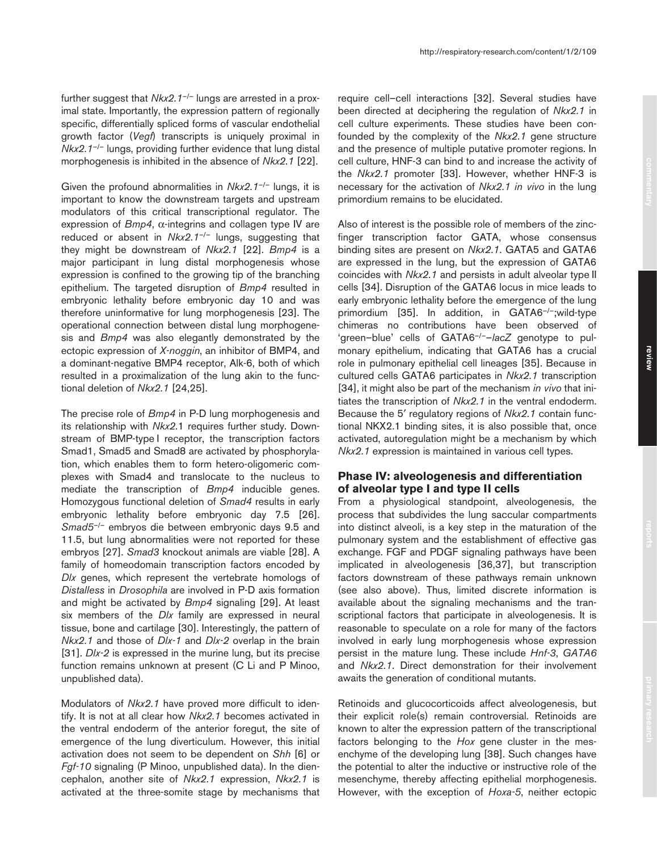further suggest that *Nkx2.1*–/– lungs are arrested in a proximal state. Importantly, the expression pattern of regionally specific, differentially spliced forms of vascular endothelial growth factor (*Vegf*) transcripts is uniquely proximal in *Nkx2.1*–/– lungs, providing further evidence that lung distal morphogenesis is inhibited in the absence of *Nkx2.1* [22].

Given the profound abnormalities in *Nkx2.1<sup>-/-</sup>* lungs, it is important to know the downstream targets and upstream modulators of this critical transcriptional regulator. The expression of *Bmp4*, α-integrins and collagen type IV are reduced or absent in *Nkx2.1*–/– lungs, suggesting that they might be downstream of *Nkx2.1* [22]. *Bmp4* is a major participant in lung distal morphogenesis whose expression is confined to the growing tip of the branching epithelium. The targeted disruption of *Bmp4* resulted in embryonic lethality before embryonic day 10 and was therefore uninformative for lung morphogenesis [23]. The operational connection between distal lung morphogenesis and *Bmp4* was also elegantly demonstrated by the ectopic expression of *X-noggin*, an inhibitor of BMP4, and a dominant-negative BMP4 receptor, Alk-6, both of which resulted in a proximalization of the lung akin to the functional deletion of *Nkx2.1* [24,25].

The precise role of *Bmp4* in P-D lung morphogenesis and its relationship with *Nkx2.*1 requires further study. Downstream of BMP-type I receptor, the transcription factors Smad1, Smad5 and Smad8 are activated by phosphorylation, which enables them to form hetero-oligomeric complexes with Smad4 and translocate to the nucleus to mediate the transcription of *Bmp4* inducible genes. Homozygous functional deletion of *Smad4* results in early embryonic lethality before embryonic day 7.5 [26]. *Smad5*–/– embryos die between embryonic days 9.5 and 11.5, but lung abnormalities were not reported for these embryos [27]. *Smad3* knockout animals are viable [28]. A family of homeodomain transcription factors encoded by *Dlx* genes, which represent the vertebrate homologs of *Distalless* in *Drosophila* are involved in P-D axis formation and might be activated by *Bmp4* signaling [29]. At least six members of the *Dlx* family are expressed in neural tissue, bone and cartilage [30]. Interestingly, the pattern of *Nkx2.1* and those of *Dlx-1* and *Dlx-2* overlap in the brain [31]. *Dlx-2* is expressed in the murine lung, but its precise function remains unknown at present (C Li and P Minoo, unpublished data).

Modulators of *Nkx2.1* have proved more difficult to identify. It is not at all clear how *Nkx2.1* becomes activated in the ventral endoderm of the anterior foregut, the site of emergence of the lung diverticulum. However, this initial activation does not seem to be dependent on *Shh* [6] or *Fgf-10* signaling (P Minoo, unpublished data). In the diencephalon, another site of *Nkx2.1* expression, *Nkx2.1* is activated at the three-somite stage by mechanisms that require cell–cell interactions [32]. Several studies have been directed at deciphering the regulation of *Nkx2.1* in cell culture experiments. These studies have been confounded by the complexity of the *Nkx2.1* gene structure and the presence of multiple putative promoter regions. In cell culture, HNF-3 can bind to and increase the activity of the *Nkx2.1* promoter [33]. However, whether HNF-3 is necessary for the activation of *Nkx2.1 in vivo* in the lung primordium remains to be elucidated.

http://respiratory-research.com/content/1/2/109

Also of interest is the possible role of members of the zincfinger transcription factor GATA, whose consensus binding sites are present on *Nkx2.1*. GATA5 and GATA6 are expressed in the lung, but the expression of GATA6 coincides with *Nkx2.1* and persists in adult alveolar type II cells [34]. Disruption of the GATA6 locus in mice leads to early embryonic lethality before the emergence of the lung primordium [35]. In addition, in GATA6–/–;wild-type chimeras no contributions have been observed of 'green–blue' cells of GATA6–/––*lacZ* genotype to pulmonary epithelium, indicating that GATA6 has a crucial role in pulmonary epithelial cell lineages [35]. Because in cultured cells GATA6 participates in *Nkx2.1* transcription [34], it might also be part of the mechanism *in vivo* that initiates the transcription of *Nkx2.1* in the ventral endoderm. Because the 5′ regulatory regions of *Nkx2.1* contain functional NKX2.1 binding sites, it is also possible that, once activated, autoregulation might be a mechanism by which *Nkx2.1* expression is maintained in various cell types.

## **Phase IV: alveologenesis and differentiation of alveolar type I and type II cells**

From a physiological standpoint, alveologenesis, the process that subdivides the lung saccular compartments into distinct alveoli, is a key step in the maturation of the pulmonary system and the establishment of effective gas exchange. FGF and PDGF signaling pathways have been implicated in alveologenesis [36,37], but transcription factors downstream of these pathways remain unknown (see also above). Thus, limited discrete information is available about the signaling mechanisms and the transcriptional factors that participate in alveologenesis. It is reasonable to speculate on a role for many of the factors involved in early lung morphogenesis whose expression persist in the mature lung. These include *Hnf-3*, *GATA6* and *Nkx2.1*. Direct demonstration for their involvement awaits the generation of conditional mutants.

Retinoids and glucocorticoids affect alveologenesis, but their explicit role(s) remain controversial. Retinoids are known to alter the expression pattern of the transcriptional factors belonging to the *Hox* gene cluster in the mesenchyme of the developing lung [38]. Such changes have the potential to alter the inductive or instructive role of the mesenchyme, thereby affecting epithelial morphogenesis. However, with the exception of *Hoxa-5*, neither ectopic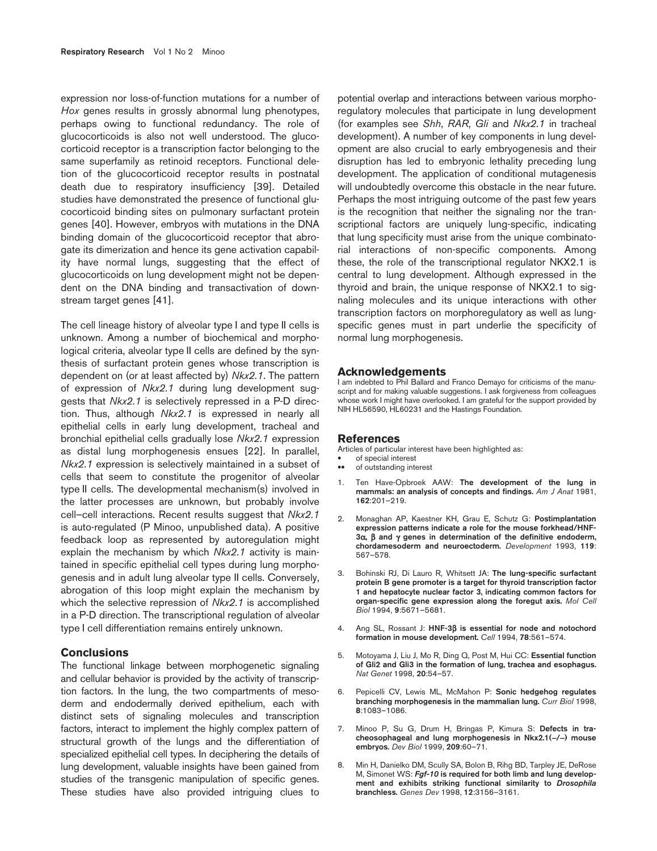expression nor loss-of-function mutations for a number of *Hox* genes results in grossly abnormal lung phenotypes, perhaps owing to functional redundancy. The role of glucocorticoids is also not well understood. The glucocorticoid receptor is a transcription factor belonging to the same superfamily as retinoid receptors. Functional deletion of the glucocorticoid receptor results in postnatal death due to respiratory insufficiency [39]. Detailed studies have demonstrated the presence of functional glucocorticoid binding sites on pulmonary surfactant protein genes [40]. However, embryos with mutations in the DNA binding domain of the glucocorticoid receptor that abrogate its dimerization and hence its gene activation capability have normal lungs, suggesting that the effect of glucocorticoids on lung development might not be dependent on the DNA binding and transactivation of downstream target genes [41].

The cell lineage history of alveolar type I and type II cells is unknown. Among a number of biochemical and morphological criteria, alveolar type II cells are defined by the synthesis of surfactant protein genes whose transcription is dependent on (or at least affected by) *Nkx2.1*. The pattern of expression of *Nkx2.1* during lung development suggests that *Nkx2.1* is selectively repressed in a P-D direction. Thus, although *Nkx2.1* is expressed in nearly all epithelial cells in early lung development, tracheal and bronchial epithelial cells gradually lose *Nkx2.1* expression as distal lung morphogenesis ensues [22]. In parallel, *Nkx2.1* expression is selectively maintained in a subset of cells that seem to constitute the progenitor of alveolar type II cells. The developmental mechanism(s) involved in the latter processes are unknown, but probably involve cell–cell interactions. Recent results suggest that *Nkx2.1* is auto-regulated (P Minoo, unpublished data). A positive feedback loop as represented by autoregulation might explain the mechanism by which *Nkx2.1* activity is maintained in specific epithelial cell types during lung morphogenesis and in adult lung alveolar type II cells. Conversely, abrogation of this loop might explain the mechanism by which the selective repression of *Nkx2.1* is accomplished in a P-D direction. The transcriptional regulation of alveolar type I cell differentiation remains entirely unknown.

#### **Conclusions**

The functional linkage between morphogenetic signaling and cellular behavior is provided by the activity of transcription factors. In the lung, the two compartments of mesoderm and endodermally derived epithelium, each with distinct sets of signaling molecules and transcription factors, interact to implement the highly complex pattern of structural growth of the lungs and the differentiation of specialized epithelial cell types. In deciphering the details of lung development, valuable insights have been gained from studies of the transgenic manipulation of specific genes. These studies have also provided intriguing clues to

potential overlap and interactions between various morphoregulatory molecules that participate in lung development (for examples see *Shh*, *RAR*, *Gli* and *Nkx2.1* in tracheal development). A number of key components in lung development are also crucial to early embryogenesis and their disruption has led to embryonic lethality preceding lung development. The application of conditional mutagenesis will undoubtedly overcome this obstacle in the near future. Perhaps the most intriguing outcome of the past few years is the recognition that neither the signaling nor the transcriptional factors are uniquely lung-specific, indicating that lung specificity must arise from the unique combinatorial interactions of non-specific components. Among these, the role of the transcriptional regulator NKX2.1 is central to lung development. Although expressed in the thyroid and brain, the unique response of NKX2.1 to signaling molecules and its unique interactions with other transcription factors on morphoregulatory as well as lungspecific genes must in part underlie the specificity of normal lung morphogenesis.

#### **Acknowledgements**

I am indebted to Phil Ballard and Franco Demayo for criticisms of the manuscript and for making valuable suggestions. I ask forgiveness from colleagues whose work I might have overlooked. I am grateful for the support provided by NIH HL56590, HL60231 and the Hastings Foundation.

#### **References**

Articles of particular interest have been highlighted as:

- of special interest<br>• of outstanding inte of outstanding interest
- 1. Ten Have-Opbroek AAW: **The development of the lung in mammals: an analysis of concepts and findings.** *Am J Anat* 1981, **162**:201–219.
- 2. Monaghan AP, Kaestner KH, Grau E, Schutz G: **Postimplantation expression patterns indicate a role for the mouse forkhead/HNF-3**α**,** β **and** γ **genes in determination of the definitive endoderm, chordamesoderm and neuroectoderm.** *Development* 1993, **119**: 567–578.
- 3. Bohinski RJ, Di Lauro R, Whitsett JA: **The lung-specific surfactant protein B gene promoter is a target for thyroid transcription factor 1 and hepatocyte nuclear factor 3, indicating common factors for organ-specific gene expression along the foregut axis.** *Mol Cell Biol* 1994, **9**:5671–5681.
- 4. Ang SL, Rossant J: **HNF-3**β **is essential for node and notochord formation in mouse development.** *Cell* 1994, **78**:561–574.
- 5. Motoyama J, Liu J, Mo R, Ding Q, Post M, Hui CC: **Essential function of Gli2 and Gli3 in the formation of lung, trachea and esophagus.** *Nat Genet* 1998, **20**:54–57.
- 6. Pepicelli CV, Lewis ML, McMahon P: **Sonic hedgehog regulates branching morphogenesis in the mammalian lung.** *Curr Biol* 1998, **8**:1083–1086.
- 7. Minoo P, Su G, Drum H, Bringas P, Kimura S: **Defects in tracheosophageal and lung morphogenesis in Nkx2.1(**−**/**−**) mouse embryos.** *Dev Biol* 1999, **209**:60–71.
- 8. Min H, Danielko DM, Scully SA, Bolon B, Rihg BD, Tarpley JE, DeRose M, Simonet WS: *Fgf-10* **is required for both limb and lung development and exhibits striking functional similarity to** *Drosophila* **branchless.** *Genes Dev* 1998, **12**:3156–3161.